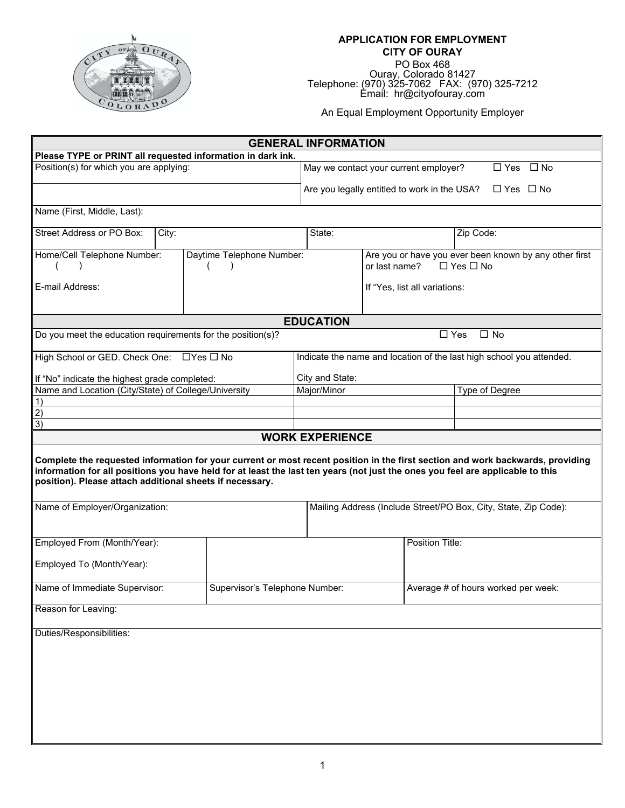

## **APPLICATION FOR EMPLOYMENT CITY OF OURAY**  PO Box 468

Ouray, Colorado 81427<br>Telephone: (970) 325-7062 FAX: (970) 325-7212<br>Email: hr@cityofouray.com

An Equal Employment Opportunity Employer

| <b>GENERAL INFORMATION</b>                                                                                                                                                                                                                                                                                                   |                                |                                                                                                 |  |  |  |  |
|------------------------------------------------------------------------------------------------------------------------------------------------------------------------------------------------------------------------------------------------------------------------------------------------------------------------------|--------------------------------|-------------------------------------------------------------------------------------------------|--|--|--|--|
| Please TYPE or PRINT all requested information in dark ink.                                                                                                                                                                                                                                                                  |                                |                                                                                                 |  |  |  |  |
| Position(s) for which you are applying:                                                                                                                                                                                                                                                                                      |                                | May we contact your current employer?<br>$\Box$ No<br>$\Box$ Yes                                |  |  |  |  |
|                                                                                                                                                                                                                                                                                                                              |                                | Are you legally entitled to work in the USA?<br>$\Box$ Yes $\Box$ No                            |  |  |  |  |
| Name (First, Middle, Last):                                                                                                                                                                                                                                                                                                  |                                |                                                                                                 |  |  |  |  |
| Street Address or PO Box:<br>City:                                                                                                                                                                                                                                                                                           | State:                         | Zip Code:                                                                                       |  |  |  |  |
| Home/Cell Telephone Number:                                                                                                                                                                                                                                                                                                  | Daytime Telephone Number:      | Are you or have you ever been known by any other first<br>or last name?<br>$\Box$ Yes $\Box$ No |  |  |  |  |
| E-mail Address:                                                                                                                                                                                                                                                                                                              |                                | If "Yes, list all variations:                                                                   |  |  |  |  |
|                                                                                                                                                                                                                                                                                                                              | <b>EDUCATION</b>               |                                                                                                 |  |  |  |  |
| Do you meet the education requirements for the position(s)?                                                                                                                                                                                                                                                                  |                                | $\Box$ Yes<br>$\Box$ No                                                                         |  |  |  |  |
| High School or GED. Check One: □ Yes □ No                                                                                                                                                                                                                                                                                    |                                | Indicate the name and location of the last high school you attended.                            |  |  |  |  |
| If "No" indicate the highest grade completed:                                                                                                                                                                                                                                                                                | City and State:                |                                                                                                 |  |  |  |  |
| Name and Location (City/State) of College/University                                                                                                                                                                                                                                                                         | Major/Minor                    | Type of Degree                                                                                  |  |  |  |  |
| 1)                                                                                                                                                                                                                                                                                                                           |                                |                                                                                                 |  |  |  |  |
| $\overline{2}$<br>$\overline{3}$                                                                                                                                                                                                                                                                                             |                                |                                                                                                 |  |  |  |  |
|                                                                                                                                                                                                                                                                                                                              | <b>WORK EXPERIENCE</b>         |                                                                                                 |  |  |  |  |
| Complete the requested information for your current or most recent position in the first section and work backwards, providing<br>information for all positions you have held for at least the last ten years (not just the ones you feel are applicable to this<br>position). Please attach additional sheets if necessary. |                                |                                                                                                 |  |  |  |  |
| Name of Employer/Organization:                                                                                                                                                                                                                                                                                               |                                | Mailing Address (Include Street/PO Box, City, State, Zip Code):                                 |  |  |  |  |
| Employed From (Month/Year):                                                                                                                                                                                                                                                                                                  |                                | Position Title:                                                                                 |  |  |  |  |
| Employed To (Month/Year):                                                                                                                                                                                                                                                                                                    |                                |                                                                                                 |  |  |  |  |
| Name of Immediate Supervisor:                                                                                                                                                                                                                                                                                                | Supervisor's Telephone Number: | Average # of hours worked per week:                                                             |  |  |  |  |
| Reason for Leaving:                                                                                                                                                                                                                                                                                                          |                                |                                                                                                 |  |  |  |  |
| Duties/Responsibilities:                                                                                                                                                                                                                                                                                                     |                                |                                                                                                 |  |  |  |  |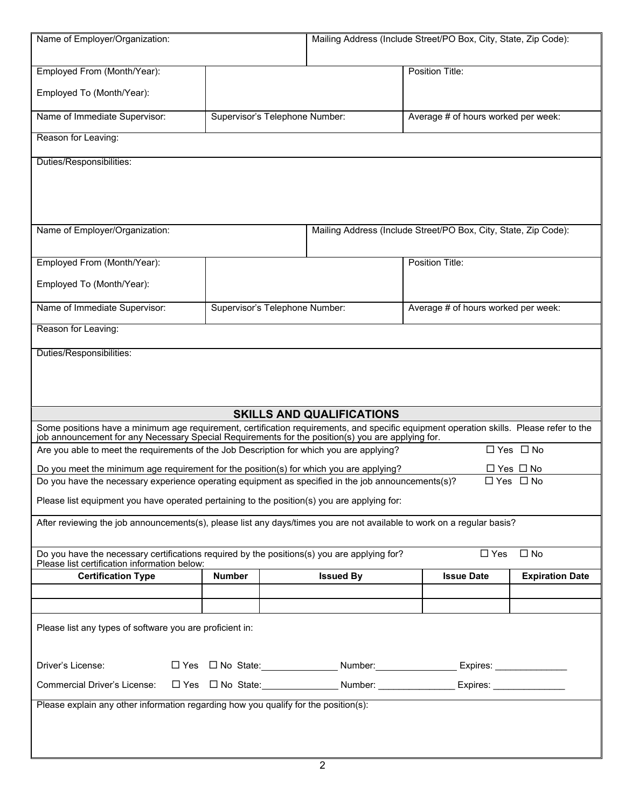| Name of Employer/Organization:                                                                                                                                                                                                               | Mailing Address (Include Street/PO Box, City, State, Zip Code): |                  |                                                                 |                        |  |  |
|----------------------------------------------------------------------------------------------------------------------------------------------------------------------------------------------------------------------------------------------|-----------------------------------------------------------------|------------------|-----------------------------------------------------------------|------------------------|--|--|
| Employed From (Month/Year):                                                                                                                                                                                                                  |                                                                 |                  | Position Title:                                                 |                        |  |  |
| Employed To (Month/Year):                                                                                                                                                                                                                    |                                                                 |                  |                                                                 |                        |  |  |
| Name of Immediate Supervisor:                                                                                                                                                                                                                | Supervisor's Telephone Number:                                  |                  | Average # of hours worked per week:                             |                        |  |  |
| Reason for Leaving:                                                                                                                                                                                                                          |                                                                 |                  |                                                                 |                        |  |  |
| Duties/Responsibilities:                                                                                                                                                                                                                     |                                                                 |                  |                                                                 |                        |  |  |
| Name of Employer/Organization:                                                                                                                                                                                                               |                                                                 |                  | Mailing Address (Include Street/PO Box, City, State, Zip Code): |                        |  |  |
| Employed From (Month/Year):                                                                                                                                                                                                                  |                                                                 |                  | Position Title:                                                 |                        |  |  |
| Employed To (Month/Year):                                                                                                                                                                                                                    |                                                                 |                  |                                                                 |                        |  |  |
| Name of Immediate Supervisor:                                                                                                                                                                                                                | Supervisor's Telephone Number:                                  |                  | Average # of hours worked per week:                             |                        |  |  |
| Reason for Leaving:                                                                                                                                                                                                                          |                                                                 |                  |                                                                 |                        |  |  |
| Duties/Responsibilities:                                                                                                                                                                                                                     |                                                                 |                  |                                                                 |                        |  |  |
|                                                                                                                                                                                                                                              |                                                                 |                  |                                                                 |                        |  |  |
| <b>SKILLS AND QUALIFICATIONS</b>                                                                                                                                                                                                             |                                                                 |                  |                                                                 |                        |  |  |
| Some positions have a minimum age requirement, certification requirements, and specific equipment operation skills. Please refer to the<br>job announcement for any Necessary Special Requirements for the position(s) you are applying for. |                                                                 |                  |                                                                 |                        |  |  |
| □ Yes □ No<br>Are you able to meet the requirements of the Job Description for which you are applying?                                                                                                                                       |                                                                 |                  |                                                                 |                        |  |  |
| Do you meet the minimum age requirement for the position(s) for which you are applying?                                                                                                                                                      |                                                                 |                  |                                                                 | □ Yes □ No             |  |  |
| Do you have the necessary experience operating equipment as specified in the job announcements(s)?<br>□ Yes □ No<br>Please list equipment you have operated pertaining to the position(s) you are applying for:                              |                                                                 |                  |                                                                 |                        |  |  |
| After reviewing the job announcements(s), please list any days/times you are not available to work on a regular basis?                                                                                                                       |                                                                 |                  |                                                                 |                        |  |  |
| Do you have the necessary certifications required by the positions(s) you are applying for?<br>$\Box$ Yes<br>$\square$ No                                                                                                                    |                                                                 |                  |                                                                 |                        |  |  |
| Please list certification information below:                                                                                                                                                                                                 |                                                                 |                  |                                                                 |                        |  |  |
| <b>Certification Type</b>                                                                                                                                                                                                                    | <b>Number</b>                                                   | <b>Issued By</b> | <b>Issue Date</b>                                               | <b>Expiration Date</b> |  |  |
|                                                                                                                                                                                                                                              |                                                                 |                  |                                                                 |                        |  |  |
| Please list any types of software you are proficient in:                                                                                                                                                                                     |                                                                 |                  |                                                                 |                        |  |  |
| Driver's License:                                                                                                                                                                                                                            |                                                                 |                  |                                                                 |                        |  |  |
| <b>Commercial Driver's License:</b>                                                                                                                                                                                                          |                                                                 |                  |                                                                 |                        |  |  |
| Please explain any other information regarding how you qualify for the position(s):                                                                                                                                                          |                                                                 |                  |                                                                 |                        |  |  |
|                                                                                                                                                                                                                                              |                                                                 |                  |                                                                 |                        |  |  |